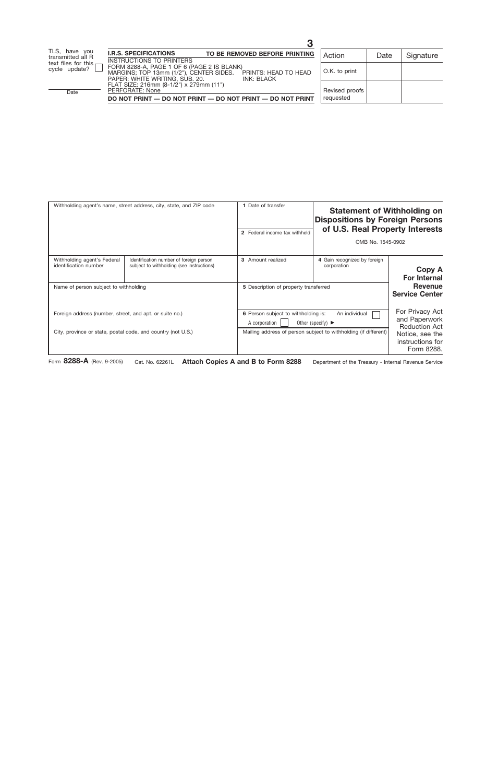| Withholding agent's name, street address, city, state, and ZIP code                                                     |                                                                                      | 1 Date of transfer<br>2 Federal income tax withheld |                                                                                                                                                                  | <b>Statement of Withholding on</b><br><b>Dispositions by Foreign Persons</b><br>of U.S. Real Property Interests<br>OMB No. 1545-0902 |  |
|-------------------------------------------------------------------------------------------------------------------------|--------------------------------------------------------------------------------------|-----------------------------------------------------|------------------------------------------------------------------------------------------------------------------------------------------------------------------|--------------------------------------------------------------------------------------------------------------------------------------|--|
| Withholding agent's Federal<br>identification number                                                                    | Identification number of foreign person<br>subject to withholding (see instructions) | 3 Amount realized                                   | 4 Gain recognized by foreign<br>corporation                                                                                                                      | <b>Copy A</b><br><b>For Internal</b>                                                                                                 |  |
| Name of person subject to withholding                                                                                   |                                                                                      |                                                     | 5 Description of property transferred                                                                                                                            |                                                                                                                                      |  |
| Foreign address (number, street, and apt. or suite no.)<br>City, province or state, postal code, and country (not U.S.) |                                                                                      | A corporation                                       | 6 Person subject to withholding is:<br>An individual<br>Other (specify) $\blacktriangleright$<br>Mailing address of person subject to withholding (if different) |                                                                                                                                      |  |

Form **8288-A** (Rev. 9-2005) Cat. No. 62261L **Attach Copies A and B to Form 8288** Department of the Treasury - Internal Revenue Service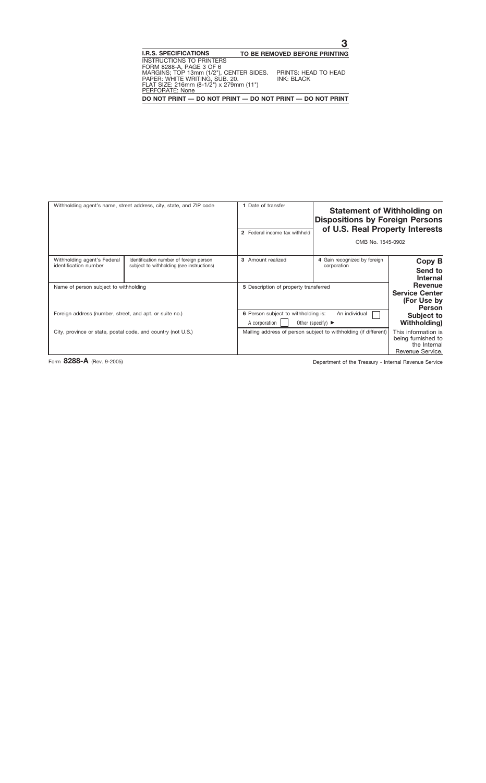| Withholding agent's name, street address, city, state, and ZIP code |                                                                                      | 1 Date of transfer<br>2 Federal income tax withheld                                                            | <b>Statement of Withholding on</b><br><b>Dispositions by Foreign Persons</b><br>of U.S. Real Property Interests<br>OMB No. 1545-0902 |                                                                               |
|---------------------------------------------------------------------|--------------------------------------------------------------------------------------|----------------------------------------------------------------------------------------------------------------|--------------------------------------------------------------------------------------------------------------------------------------|-------------------------------------------------------------------------------|
| Withholding agent's Federal<br>identification number                | Identification number of foreign person<br>subject to withholding (see instructions) | 3 Amount realized                                                                                              | 4 Gain recognized by foreign<br>corporation                                                                                          | Copy B<br>Send to<br><b>Internal</b>                                          |
| Name of person subject to withholding                               |                                                                                      | 5 Description of property transferred                                                                          |                                                                                                                                      | Revenue<br><b>Service Center</b><br>(For Use by<br><b>Person</b>              |
| Foreign address (number, street, and apt. or suite no.)             |                                                                                      | 6 Person subject to withholding is:<br>An individual<br>A corporation<br>Other (specify) $\blacktriangleright$ |                                                                                                                                      | Subject to<br><b>Withholding</b> )                                            |
| City, province or state, postal code, and country (not U.S.)        |                                                                                      |                                                                                                                | Mailing address of person subject to withholding (if different)                                                                      | This information is<br>being furnished to<br>the Internal<br>Revenue Service. |

Form 8288-A (Rev. 9-2005) **Department of the Treasury - Internal Revenue Service**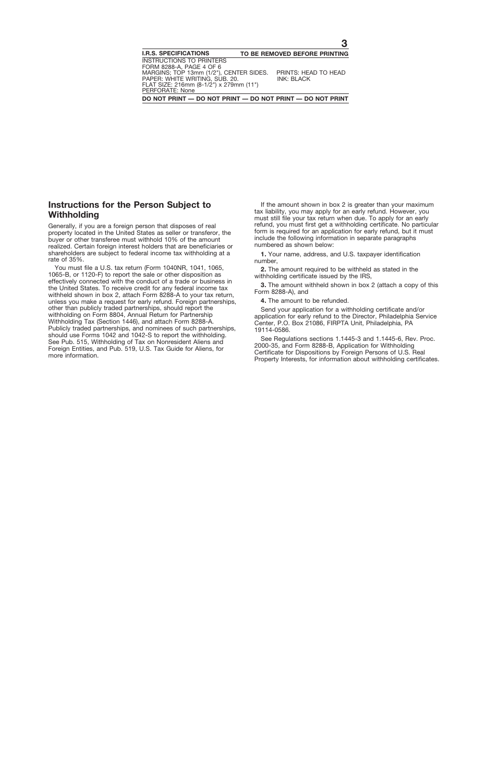## **Instructions for the Person Subject to Withholding**

Generally, if you are a foreign person that disposes of real property located in the United States as seller or transferor, the buyer or other transferee must withhold 10% of the amount realized. Certain foreign interest holders that are beneficiaries or shareholders are subject to federal income tax withholding at a rate of 35%.

You must file a U.S. tax return (Form 1040NR, 1041, 1065, 1065-B, or 1120-F) to report the sale or other disposition as effectively connected with the conduct of a trade or business in the United States. To receive credit for any federal income tax withheld shown in box 2, attach Form 8288-A to your tax return, unless you make a request for early refund. Foreign partnerships, other than publicly traded partnerships, should report the withholding on Form 8804, Annual Return for Partnership Withholding Tax (Section 1446), and attach Form 8288-A. Publicly traded partnerships, and nominees of such partnerships, should use Forms 1042 and 1042-S to report the withholding. See Pub. 515, Withholding of Tax on Nonresident Aliens and Foreign Entities, and Pub. 519, U.S. Tax Guide for Aliens, for more information.

If the amount shown in box 2 is greater than your maximum tax liability, you may apply for an early refund. However, you must still file your tax return when due. To apply for an early refund, you must first get a withholding certificate. No particular form is required for an application for early refund, but it must include the following information in separate paragraphs numbered as shown below:

**1.** Your name, address, and U.S. taxpayer identification number,

**2.** The amount required to be withheld as stated in the withholding certificate issued by the IRS,

**3.** The amount withheld shown in box 2 (attach a copy of this Form 8288-A), and

**4.** The amount to be refunded.

Send your application for a withholding certificate and/or application for early refund to the Director, Philadelphia Service Center, P.O. Box 21086, FIRPTA Unit, Philadelphia, PA 19114-0586.

See Regulations sections 1.1445-3 and 1.1445-6, Rev. Proc. 2000-35, and Form 8288-B, Application for Withholding Certificate for Dispositions by Foreign Persons of U.S. Real Property Interests, for information about withholding certificates.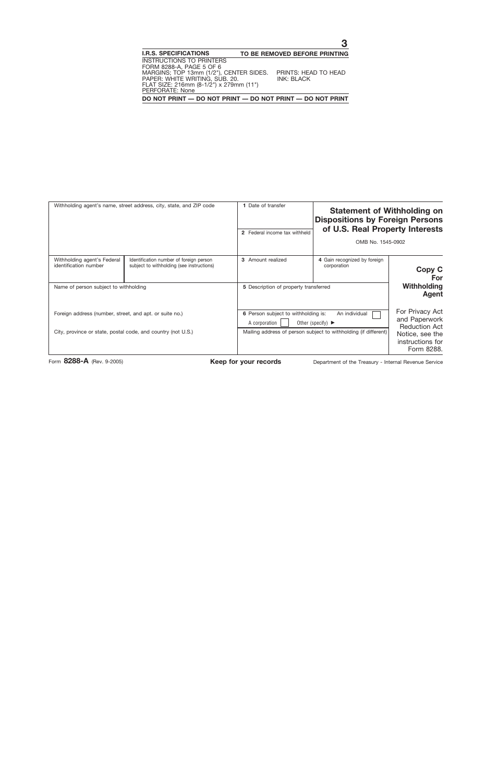| Withholding agent's name, street address, city, state, and ZIP code                                                     |                                                                                      | 1 Date of transfer<br>2 Federal income tax withheld        | <b>Statement of Withholding on</b><br><b>Dispositions by Foreign Persons</b><br>of U.S. Real Property Interests<br>OMB No. 1545-0902                             |                                              |
|-------------------------------------------------------------------------------------------------------------------------|--------------------------------------------------------------------------------------|------------------------------------------------------------|------------------------------------------------------------------------------------------------------------------------------------------------------------------|----------------------------------------------|
| Withholding agent's Federal<br>identification number<br>Name of person subject to withholding                           | Identification number of foreign person<br>subject to withholding (see instructions) | 3 Amount realized<br>5 Description of property transferred | 4 Gain recognized by foreign<br>corporation                                                                                                                      | Copy C<br><b>For</b><br>Withholding<br>Agent |
| Foreign address (number, street, and apt. or suite no.)<br>City, province or state, postal code, and country (not U.S.) |                                                                                      | A corporation                                              | 6 Person subject to withholding is:<br>An individual<br>Other (specify) $\blacktriangleright$<br>Mailing address of person subject to withholding (if different) |                                              |

Form 8288-A (Rev. 9-2005) **Keep for your records** Department of the Treasury - Internal Revenue Service